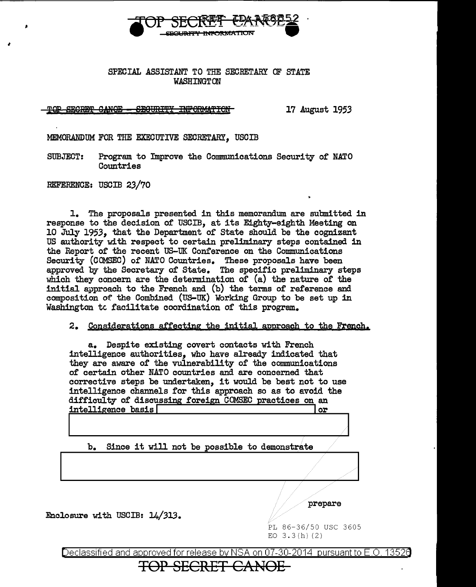

## SPECIAL ASSISTANT TO THE SECRETARY OF STATE WASHINGTON

T<del>QP SECRET GANOE - SECURITY INFORMATION 17</del> August 1953

MEMORANDUM FOR THE EXECUTIVE SECRETARY, USCIB

SUBJECT: Program to Improve the Communications Security of NATO **Countries** 

REFERENCE: USCIB 23/70

'

1. The proposals presented in this memorandum are submitted in response to the decision of USCIB, at its Eighty-eighth Meeting on 10 July *1953,* that the Department of State should be the cognizant US authority with respect to certain preliminary steps contained in the Report of the recent US-UK Conference on the Communications Security (COMSEC) of NATO Countries. These proposals have been approved by the Secretary of State. The specific preliminary steps which they concern are the determination of (a) the nature of the initial approach to the French and (b) the terms of reference and composition of the Combined (US-UIC) Working Group to be set up in Washington tc facilitate coordination of this program.

2. Considerations affecting the initial approach to the French.

a. Despite existing covert contacts with French intelligence authorities, who have already indicated that they are aware of the vulnerability of the communications of certain other NATO countries and are concerned that corrective steps be undertaken, it would be best not to use intelligence channels for this approach so as to avoid the difficulty of discussing foreign COMSEC practices on an intelligence basis intelligence basis  $\lceil$ 

b. Since it will not be possible to demonstrate

Enclosure with USCIB: 14/313.

prepare

PL 86-36/50 USC 3605 EO  $3.3(h)$  (2)

Declassified and approved for release by NSA on 07-30-2014 pursuant to E.O. 13526

TOP SECRET CANOE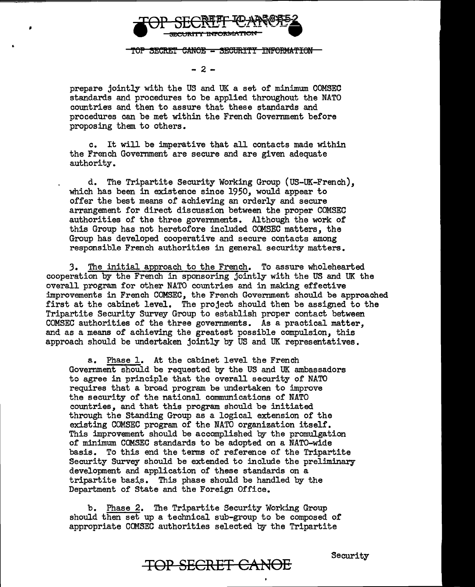

TOP SECRET CANOE - SECURITY INFORMATION

 $-2 -$ 

prepare jointly with the US and UK a set of minimum COMSEC standards and procedures to be applied throughout the NATO countries and then to assure that these standards and procedures can be met within the French Government before proposing them to others.

c. It will be imperative that all contacts made within the French Government are secure and are given adequate authority.

d. The Tripartite Security Working Group (US-UK-French),, which has been in existence since 1950, would appear to offer the best means of achieving an orderly and secure arrangement for direct discussion between the proper COMSEC authorities of the three governments. Although the work of this Group has not heretofore included CCMSEC matters, the Group has developed cooperative and secure contacts among responsible French authorities in general security matters.

3. The initial approach to the French. To assure wholehearted cooperation by the French in sponsoring jointly with the US and UK the overall program for other NATO countries and in making effective improvements in French COMSEC, the French Government should be approached first at the cabinet level. The project should then be assigned to the Tripartite Security Survey Group to establish proper contact between COMSEC authorities of the three governments. As a practical matter, and as a means of achieving the greatest possible compulsion, this approach should be undertaken jointly by US and UK representatives.

a. Phase 1. At the cabinet level the French Government should be requested by the US and UK ambassadors to agree in principle that the overall security of NATO requires that a broad program be undertaken to improve the security of the national communications of NATO countries, and that this program should be initiated through the Standing Group as a logical extension of the existing COMSEC program of the NATO organization itself. This improvement should be accomplished by the promulgation of minimum COMSEC standards to be adopted on a NATO-wide basis. To this end the terms of reference of the Tripartite Security Survey should be extended to include the preliminary development and application of these standards on a tripartite basis. This phase should be handled by the Department of State and the Foreign Office.

b. Phase 2. The Tripartite Security Working Group should then set up a technical sub-group to be composed of appropriate CCMSEC authorities selected by the Tripartite

**TOP SECRET CANOE** Security